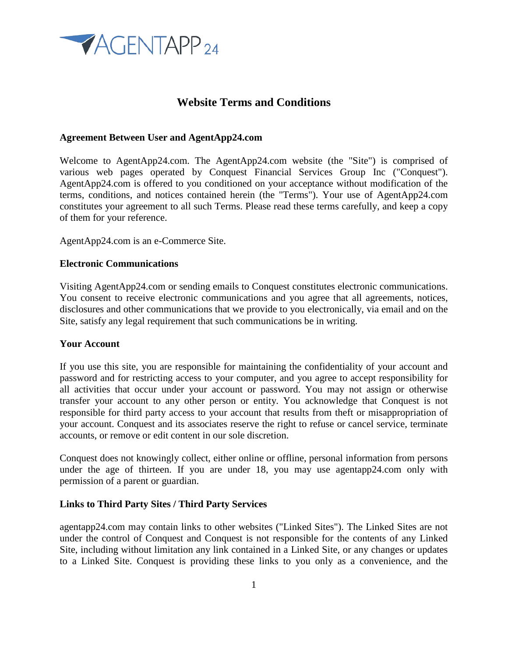

# **Website Terms and Conditions**

#### **Agreement Between User and AgentApp24.com**

Welcome to AgentApp24.com. The AgentApp24.com website (the "Site") is comprised of various web pages operated by Conquest Financial Services Group Inc ("Conquest"). AgentApp24.com is offered to you conditioned on your acceptance without modification of the terms, conditions, and notices contained herein (the "Terms"). Your use of AgentApp24.com constitutes your agreement to all such Terms. Please read these terms carefully, and keep a copy of them for your reference.

AgentApp24.com is an e-Commerce Site.

#### **Electronic Communications**

Visiting AgentApp24.com or sending emails to Conquest constitutes electronic communications. You consent to receive electronic communications and you agree that all agreements, notices, disclosures and other communications that we provide to you electronically, via email and on the Site, satisfy any legal requirement that such communications be in writing.

#### **Your Account**

If you use this site, you are responsible for maintaining the confidentiality of your account and password and for restricting access to your computer, and you agree to accept responsibility for all activities that occur under your account or password. You may not assign or otherwise transfer your account to any other person or entity. You acknowledge that Conquest is not responsible for third party access to your account that results from theft or misappropriation of your account. Conquest and its associates reserve the right to refuse or cancel service, terminate accounts, or remove or edit content in our sole discretion.

Conquest does not knowingly collect, either online or offline, personal information from persons under the age of thirteen. If you are under 18, you may use agentapp24.com only with permission of a parent or guardian.

#### **Links to Third Party Sites / Third Party Services**

agentapp24.com may contain links to other websites ("Linked Sites"). The Linked Sites are not under the control of Conquest and Conquest is not responsible for the contents of any Linked Site, including without limitation any link contained in a Linked Site, or any changes or updates to a Linked Site. Conquest is providing these links to you only as a convenience, and the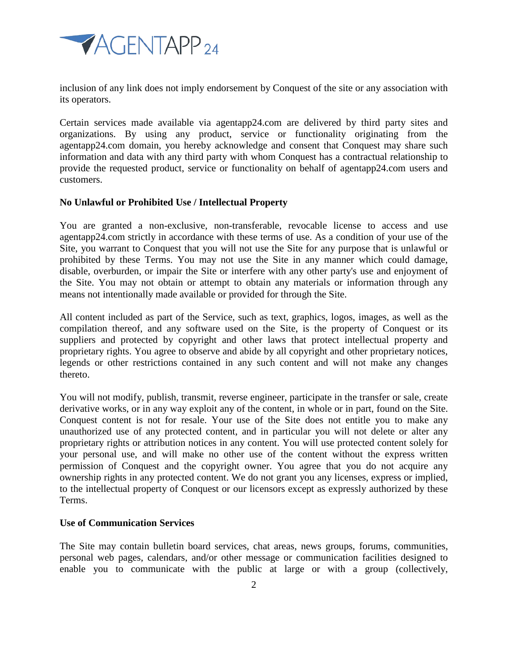

inclusion of any link does not imply endorsement by Conquest of the site or any association with its operators.

Certain services made available via agentapp24.com are delivered by third party sites and organizations. By using any product, service or functionality originating from the agentapp24.com domain, you hereby acknowledge and consent that Conquest may share such information and data with any third party with whom Conquest has a contractual relationship to provide the requested product, service or functionality on behalf of agentapp24.com users and customers.

## **No Unlawful or Prohibited Use / Intellectual Property**

You are granted a non-exclusive, non-transferable, revocable license to access and use agentapp24.com strictly in accordance with these terms of use. As a condition of your use of the Site, you warrant to Conquest that you will not use the Site for any purpose that is unlawful or prohibited by these Terms. You may not use the Site in any manner which could damage, disable, overburden, or impair the Site or interfere with any other party's use and enjoyment of the Site. You may not obtain or attempt to obtain any materials or information through any means not intentionally made available or provided for through the Site.

All content included as part of the Service, such as text, graphics, logos, images, as well as the compilation thereof, and any software used on the Site, is the property of Conquest or its suppliers and protected by copyright and other laws that protect intellectual property and proprietary rights. You agree to observe and abide by all copyright and other proprietary notices, legends or other restrictions contained in any such content and will not make any changes thereto.

You will not modify, publish, transmit, reverse engineer, participate in the transfer or sale, create derivative works, or in any way exploit any of the content, in whole or in part, found on the Site. Conquest content is not for resale. Your use of the Site does not entitle you to make any unauthorized use of any protected content, and in particular you will not delete or alter any proprietary rights or attribution notices in any content. You will use protected content solely for your personal use, and will make no other use of the content without the express written permission of Conquest and the copyright owner. You agree that you do not acquire any ownership rights in any protected content. We do not grant you any licenses, express or implied, to the intellectual property of Conquest or our licensors except as expressly authorized by these Terms.

#### **Use of Communication Services**

The Site may contain bulletin board services, chat areas, news groups, forums, communities, personal web pages, calendars, and/or other message or communication facilities designed to enable you to communicate with the public at large or with a group (collectively,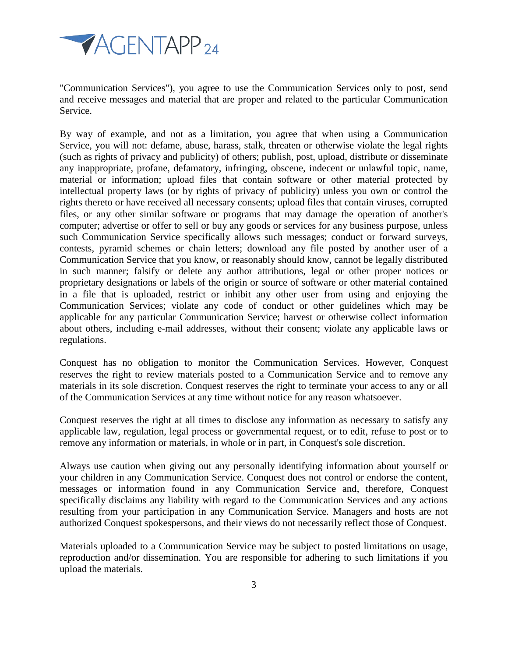

"Communication Services"), you agree to use the Communication Services only to post, send and receive messages and material that are proper and related to the particular Communication Service.

By way of example, and not as a limitation, you agree that when using a Communication Service, you will not: defame, abuse, harass, stalk, threaten or otherwise violate the legal rights (such as rights of privacy and publicity) of others; publish, post, upload, distribute or disseminate any inappropriate, profane, defamatory, infringing, obscene, indecent or unlawful topic, name, material or information; upload files that contain software or other material protected by intellectual property laws (or by rights of privacy of publicity) unless you own or control the rights thereto or have received all necessary consents; upload files that contain viruses, corrupted files, or any other similar software or programs that may damage the operation of another's computer; advertise or offer to sell or buy any goods or services for any business purpose, unless such Communication Service specifically allows such messages; conduct or forward surveys, contests, pyramid schemes or chain letters; download any file posted by another user of a Communication Service that you know, or reasonably should know, cannot be legally distributed in such manner; falsify or delete any author attributions, legal or other proper notices or proprietary designations or labels of the origin or source of software or other material contained in a file that is uploaded, restrict or inhibit any other user from using and enjoying the Communication Services; violate any code of conduct or other guidelines which may be applicable for any particular Communication Service; harvest or otherwise collect information about others, including e-mail addresses, without their consent; violate any applicable laws or regulations.

Conquest has no obligation to monitor the Communication Services. However, Conquest reserves the right to review materials posted to a Communication Service and to remove any materials in its sole discretion. Conquest reserves the right to terminate your access to any or all of the Communication Services at any time without notice for any reason whatsoever.

Conquest reserves the right at all times to disclose any information as necessary to satisfy any applicable law, regulation, legal process or governmental request, or to edit, refuse to post or to remove any information or materials, in whole or in part, in Conquest's sole discretion.

Always use caution when giving out any personally identifying information about yourself or your children in any Communication Service. Conquest does not control or endorse the content, messages or information found in any Communication Service and, therefore, Conquest specifically disclaims any liability with regard to the Communication Services and any actions resulting from your participation in any Communication Service. Managers and hosts are not authorized Conquest spokespersons, and their views do not necessarily reflect those of Conquest.

Materials uploaded to a Communication Service may be subject to posted limitations on usage, reproduction and/or dissemination. You are responsible for adhering to such limitations if you upload the materials.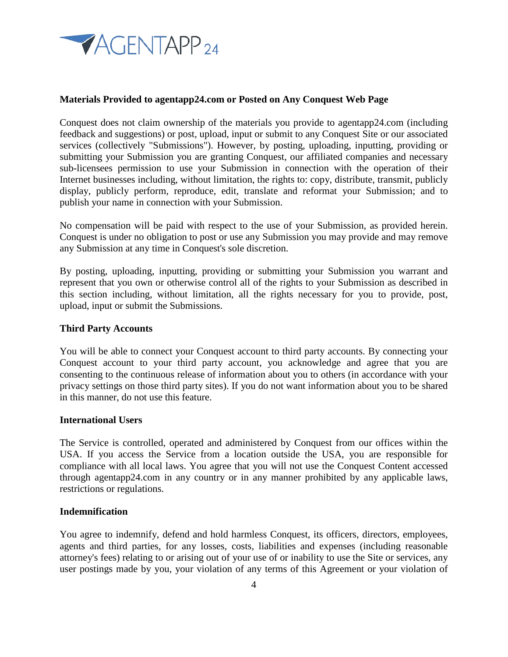

## **Materials Provided to agentapp24.com or Posted on Any Conquest Web Page**

Conquest does not claim ownership of the materials you provide to agentapp24.com (including feedback and suggestions) or post, upload, input or submit to any Conquest Site or our associated services (collectively "Submissions"). However, by posting, uploading, inputting, providing or submitting your Submission you are granting Conquest, our affiliated companies and necessary sub-licensees permission to use your Submission in connection with the operation of their Internet businesses including, without limitation, the rights to: copy, distribute, transmit, publicly display, publicly perform, reproduce, edit, translate and reformat your Submission; and to publish your name in connection with your Submission.

No compensation will be paid with respect to the use of your Submission, as provided herein. Conquest is under no obligation to post or use any Submission you may provide and may remove any Submission at any time in Conquest's sole discretion.

By posting, uploading, inputting, providing or submitting your Submission you warrant and represent that you own or otherwise control all of the rights to your Submission as described in this section including, without limitation, all the rights necessary for you to provide, post, upload, input or submit the Submissions.

#### **Third Party Accounts**

You will be able to connect your Conquest account to third party accounts. By connecting your Conquest account to your third party account, you acknowledge and agree that you are consenting to the continuous release of information about you to others (in accordance with your privacy settings on those third party sites). If you do not want information about you to be shared in this manner, do not use this feature.

### **International Users**

The Service is controlled, operated and administered by Conquest from our offices within the USA. If you access the Service from a location outside the USA, you are responsible for compliance with all local laws. You agree that you will not use the Conquest Content accessed through agentapp24.com in any country or in any manner prohibited by any applicable laws, restrictions or regulations.

### **Indemnification**

You agree to indemnify, defend and hold harmless Conquest, its officers, directors, employees, agents and third parties, for any losses, costs, liabilities and expenses (including reasonable attorney's fees) relating to or arising out of your use of or inability to use the Site or services, any user postings made by you, your violation of any terms of this Agreement or your violation of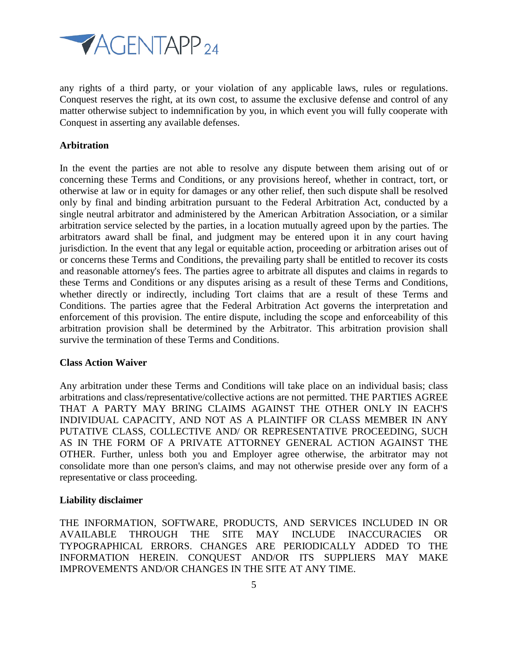

any rights of a third party, or your violation of any applicable laws, rules or regulations. Conquest reserves the right, at its own cost, to assume the exclusive defense and control of any matter otherwise subject to indemnification by you, in which event you will fully cooperate with Conquest in asserting any available defenses.

## **Arbitration**

In the event the parties are not able to resolve any dispute between them arising out of or concerning these Terms and Conditions, or any provisions hereof, whether in contract, tort, or otherwise at law or in equity for damages or any other relief, then such dispute shall be resolved only by final and binding arbitration pursuant to the Federal Arbitration Act, conducted by a single neutral arbitrator and administered by the American Arbitration Association, or a similar arbitration service selected by the parties, in a location mutually agreed upon by the parties. The arbitrators award shall be final, and judgment may be entered upon it in any court having jurisdiction. In the event that any legal or equitable action, proceeding or arbitration arises out of or concerns these Terms and Conditions, the prevailing party shall be entitled to recover its costs and reasonable attorney's fees. The parties agree to arbitrate all disputes and claims in regards to these Terms and Conditions or any disputes arising as a result of these Terms and Conditions, whether directly or indirectly, including Tort claims that are a result of these Terms and Conditions. The parties agree that the Federal Arbitration Act governs the interpretation and enforcement of this provision. The entire dispute, including the scope and enforceability of this arbitration provision shall be determined by the Arbitrator. This arbitration provision shall survive the termination of these Terms and Conditions.

#### **Class Action Waiver**

Any arbitration under these Terms and Conditions will take place on an individual basis; class arbitrations and class/representative/collective actions are not permitted. THE PARTIES AGREE THAT A PARTY MAY BRING CLAIMS AGAINST THE OTHER ONLY IN EACH'S INDIVIDUAL CAPACITY, AND NOT AS A PLAINTIFF OR CLASS MEMBER IN ANY PUTATIVE CLASS, COLLECTIVE AND/ OR REPRESENTATIVE PROCEEDING, SUCH AS IN THE FORM OF A PRIVATE ATTORNEY GENERAL ACTION AGAINST THE OTHER. Further, unless both you and Employer agree otherwise, the arbitrator may not consolidate more than one person's claims, and may not otherwise preside over any form of a representative or class proceeding.

#### **Liability disclaimer**

THE INFORMATION, SOFTWARE, PRODUCTS, AND SERVICES INCLUDED IN OR AVAILABLE THROUGH THE SITE MAY INCLUDE INACCURACIES OR TYPOGRAPHICAL ERRORS. CHANGES ARE PERIODICALLY ADDED TO THE INFORMATION HEREIN. CONQUEST AND/OR ITS SUPPLIERS MAY MAKE IMPROVEMENTS AND/OR CHANGES IN THE SITE AT ANY TIME.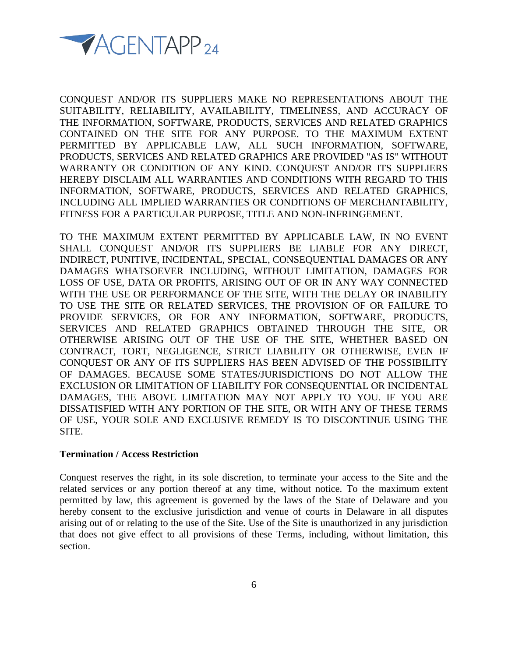

CONQUEST AND/OR ITS SUPPLIERS MAKE NO REPRESENTATIONS ABOUT THE SUITABILITY, RELIABILITY, AVAILABILITY, TIMELINESS, AND ACCURACY OF THE INFORMATION, SOFTWARE, PRODUCTS, SERVICES AND RELATED GRAPHICS CONTAINED ON THE SITE FOR ANY PURPOSE. TO THE MAXIMUM EXTENT PERMITTED BY APPLICABLE LAW, ALL SUCH INFORMATION, SOFTWARE, PRODUCTS, SERVICES AND RELATED GRAPHICS ARE PROVIDED "AS IS" WITHOUT WARRANTY OR CONDITION OF ANY KIND. CONQUEST AND/OR ITS SUPPLIERS HEREBY DISCLAIM ALL WARRANTIES AND CONDITIONS WITH REGARD TO THIS INFORMATION, SOFTWARE, PRODUCTS, SERVICES AND RELATED GRAPHICS, INCLUDING ALL IMPLIED WARRANTIES OR CONDITIONS OF MERCHANTABILITY, FITNESS FOR A PARTICULAR PURPOSE, TITLE AND NON-INFRINGEMENT.

TO THE MAXIMUM EXTENT PERMITTED BY APPLICABLE LAW, IN NO EVENT SHALL CONQUEST AND/OR ITS SUPPLIERS BE LIABLE FOR ANY DIRECT, INDIRECT, PUNITIVE, INCIDENTAL, SPECIAL, CONSEQUENTIAL DAMAGES OR ANY DAMAGES WHATSOEVER INCLUDING, WITHOUT LIMITATION, DAMAGES FOR LOSS OF USE, DATA OR PROFITS, ARISING OUT OF OR IN ANY WAY CONNECTED WITH THE USE OR PERFORMANCE OF THE SITE, WITH THE DELAY OR INABILITY TO USE THE SITE OR RELATED SERVICES, THE PROVISION OF OR FAILURE TO PROVIDE SERVICES, OR FOR ANY INFORMATION, SOFTWARE, PRODUCTS, SERVICES AND RELATED GRAPHICS OBTAINED THROUGH THE SITE, OR OTHERWISE ARISING OUT OF THE USE OF THE SITE, WHETHER BASED ON CONTRACT, TORT, NEGLIGENCE, STRICT LIABILITY OR OTHERWISE, EVEN IF CONQUEST OR ANY OF ITS SUPPLIERS HAS BEEN ADVISED OF THE POSSIBILITY OF DAMAGES. BECAUSE SOME STATES/JURISDICTIONS DO NOT ALLOW THE EXCLUSION OR LIMITATION OF LIABILITY FOR CONSEQUENTIAL OR INCIDENTAL DAMAGES, THE ABOVE LIMITATION MAY NOT APPLY TO YOU. IF YOU ARE DISSATISFIED WITH ANY PORTION OF THE SITE, OR WITH ANY OF THESE TERMS OF USE, YOUR SOLE AND EXCLUSIVE REMEDY IS TO DISCONTINUE USING THE SITE.

#### **Termination / Access Restriction**

Conquest reserves the right, in its sole discretion, to terminate your access to the Site and the related services or any portion thereof at any time, without notice. To the maximum extent permitted by law, this agreement is governed by the laws of the State of Delaware and you hereby consent to the exclusive jurisdiction and venue of courts in Delaware in all disputes arising out of or relating to the use of the Site. Use of the Site is unauthorized in any jurisdiction that does not give effect to all provisions of these Terms, including, without limitation, this section.